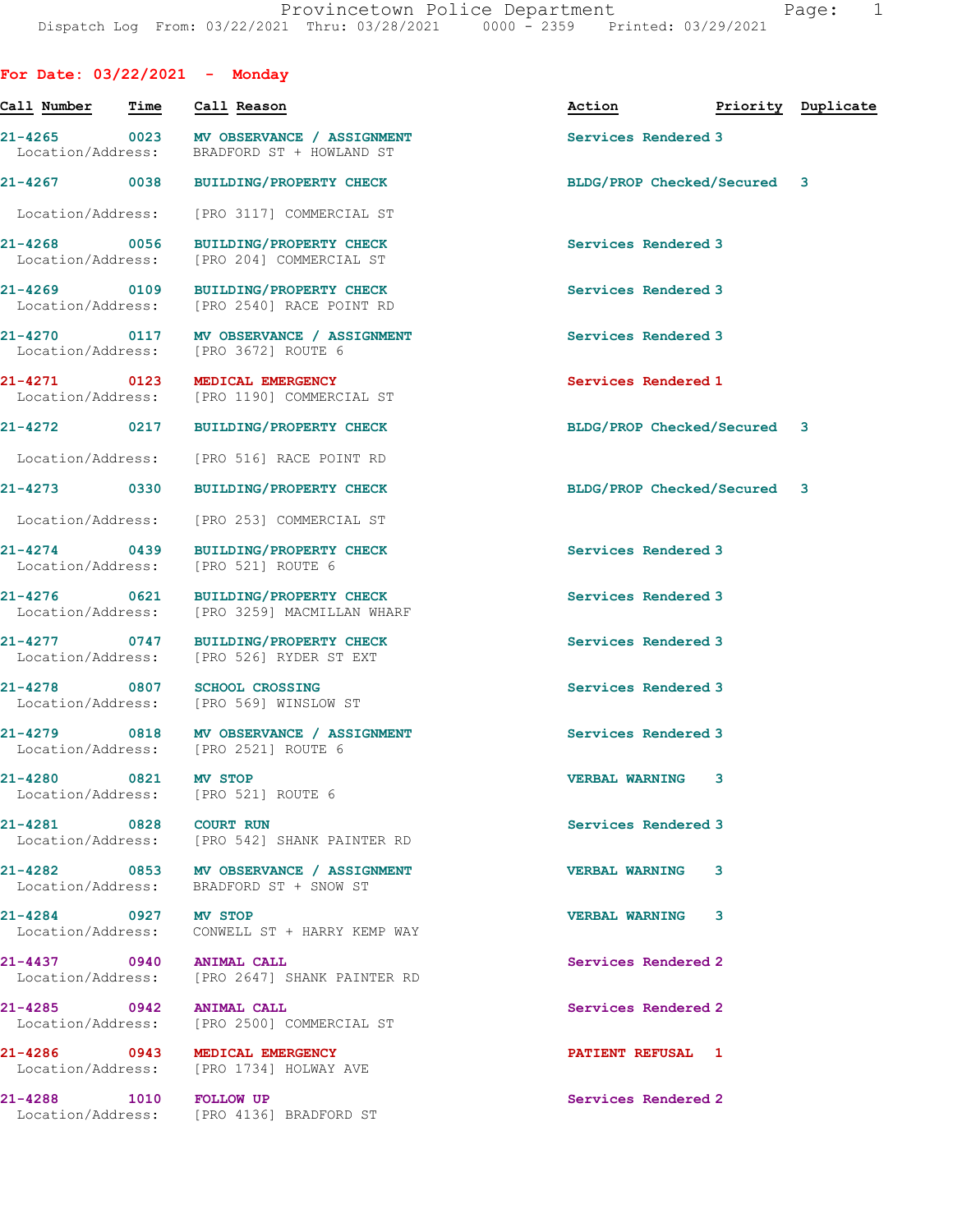For Date: 03/22/2021 - Monday

| Call Number                       |      | Time Call Reason                                                                   | Action <b>Priority</b> Duplicate |  |
|-----------------------------------|------|------------------------------------------------------------------------------------|----------------------------------|--|
| Location/Address:                 |      | 21-4265 0023 MV OBSERVANCE / ASSIGNMENT<br>BRADFORD ST + HOWLAND ST                | Services Rendered 3              |  |
| 21-4267 0038                      |      | <b>BUILDING/PROPERTY CHECK</b>                                                     | BLDG/PROP Checked/Secured 3      |  |
| Location/Address:                 |      | [PRO 3117] COMMERCIAL ST                                                           |                                  |  |
| 21-4268 0056<br>Location/Address: |      | <b>BUILDING/PROPERTY CHECK</b><br>[PRO 204] COMMERCIAL ST                          | Services Rendered 3              |  |
|                                   |      | 21-4269 0109 BUILDING/PROPERTY CHECK<br>Location/Address: [PRO 2540] RACE POINT RD | Services Rendered 3              |  |
| Location/Address:                 |      | 21-4270 0117 MV OBSERVANCE / ASSIGNMENT<br>[PRO 3672] ROUTE 6                      | Services Rendered 3              |  |
|                                   |      | 21-4271 0123 MEDICAL EMERGENCY<br>Location/Address: [PRO 1190] COMMERCIAL ST       | Services Rendered 1              |  |
|                                   |      | 21-4272 0217 BUILDING/PROPERTY CHECK                                               | BLDG/PROP Checked/Secured 3      |  |
| Location/Address:                 |      | [PRO 516] RACE POINT RD                                                            |                                  |  |
| 21-4273 0330                      |      | <b>BUILDING/PROPERTY CHECK</b>                                                     | BLDG/PROP Checked/Secured 3      |  |
| Location/Address:                 |      | [PRO 253] COMMERCIAL ST                                                            |                                  |  |
| 21-4274 0439<br>Location/Address: |      | <b>BUILDING/PROPERTY CHECK</b><br>[PRO 521] ROUTE 6                                | Services Rendered 3              |  |
| 21-4276 0621<br>Location/Address: |      | BUILDING/PROPERTY CHECK<br>[PRO 3259] MACMILLAN WHARF                              | Services Rendered 3              |  |
| 21-4277 0747<br>Location/Address: |      | BUILDING/PROPERTY CHECK<br>[PRO 526] RYDER ST EXT                                  | Services Rendered 3              |  |
|                                   |      | 21-4278 0807 SCHOOL CROSSING<br>Location/Address: [PRO 569] WINSLOW ST             | Services Rendered 3              |  |
| 21-4279                           |      | 0818 MV OBSERVANCE / ASSIGNMENT<br>Location/Address: [PRO 2521] ROUTE 6            | Services Rendered 3              |  |
| 21-4280                           | 0821 | <b>MV STOP</b><br>Location/Address: [PRO 521] ROUTE 6                              | VERBAL WARNING 3                 |  |
| 21-4281 0828 COURT RUN            |      | Location/Address: [PRO 542] SHANK PAINTER RD                                       | Services Rendered 3              |  |
|                                   |      | 21-4282 0853 MV OBSERVANCE / ASSIGNMENT<br>Location/Address: BRADFORD ST + SNOW ST | VERBAL WARNING 3                 |  |
| 21-4284 0927 MV STOP              |      | Location/Address: CONWELL ST + HARRY KEMP WAY                                      | <b>VERBAL WARNING 3</b>          |  |
| 21-4437 0940 ANIMAL CALL          |      | Location/Address: [PRO 2647] SHANK PAINTER RD                                      | Services Rendered 2              |  |
| 21-4285 0942 ANIMAL CALL          |      | Location/Address: [PRO 2500] COMMERCIAL ST                                         | Services Rendered 2              |  |
|                                   |      | 21-4286 0943 MEDICAL EMERGENCY<br>Location/Address: [PRO 1734] HOLWAY AVE          | <b>PATIENT REFUSAL 1</b>         |  |
| 21-4288 1010 FOLLOW UP            |      | Location/Address: [PRO 4136] BRADFORD ST                                           | Services Rendered 2              |  |
|                                   |      |                                                                                    |                                  |  |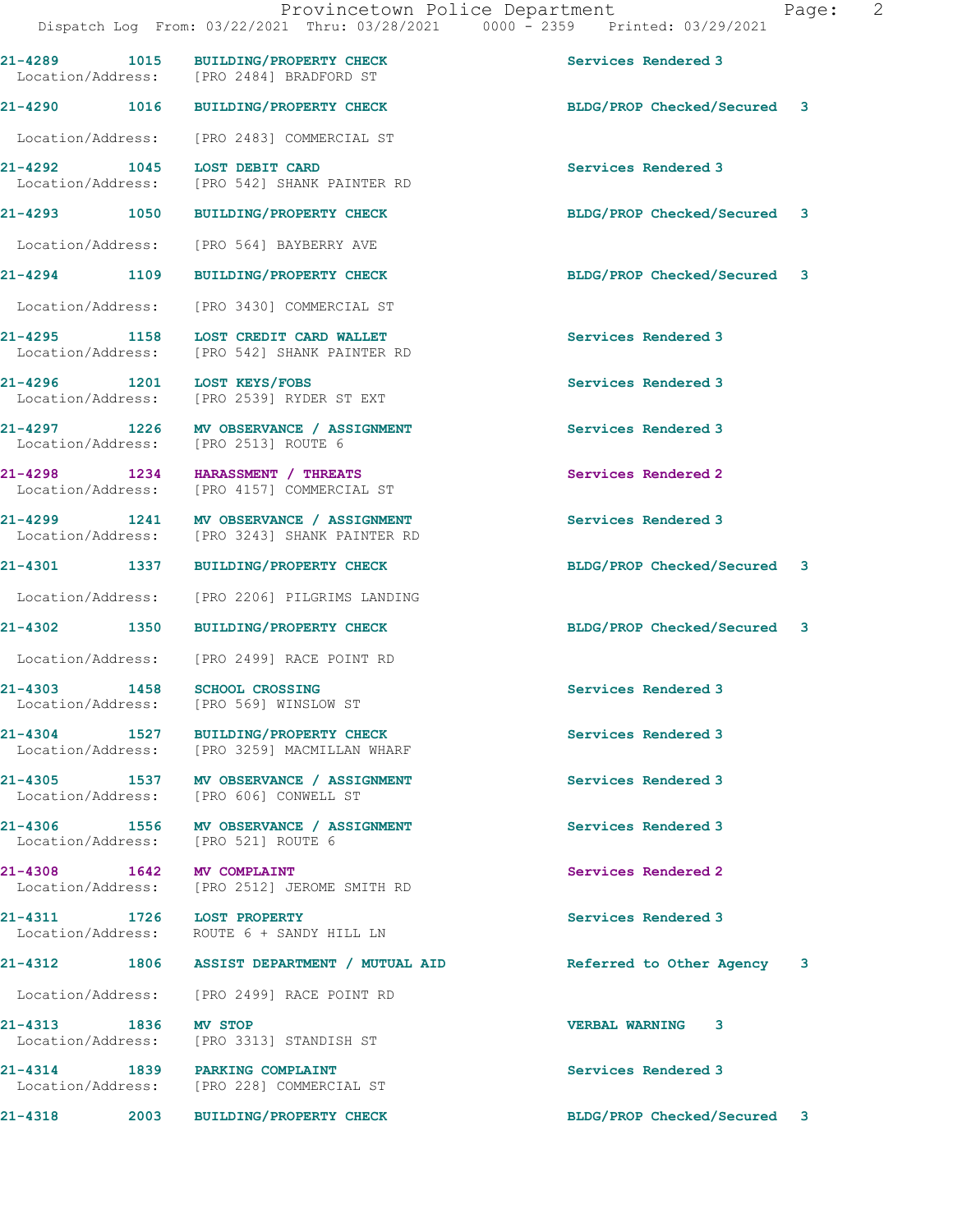|                                       |      | 21-4289 1015 BUILDING/PROPERTY CHECK<br>Location/Address: [PRO 2484] BRADFORD ST  | Services Rendered 3         |  |
|---------------------------------------|------|-----------------------------------------------------------------------------------|-----------------------------|--|
| 21-4290 1016                          |      | <b>BUILDING/PROPERTY CHECK</b>                                                    | BLDG/PROP Checked/Secured 3 |  |
| Location/Address:                     |      | [PRO 2483] COMMERCIAL ST                                                          |                             |  |
| 21-4292<br>Location/Address:          | 1045 | LOST DEBIT CARD<br>[PRO 542] SHANK PAINTER RD                                     | Services Rendered 3         |  |
| 21-4293 1050                          |      | <b>BUILDING/PROPERTY CHECK</b>                                                    | BLDG/PROP Checked/Secured 3 |  |
| Location/Address:                     |      | [PRO 564] BAYBERRY AVE                                                            |                             |  |
| 21-4294 1109                          |      | <b>BUILDING/PROPERTY CHECK</b>                                                    | BLDG/PROP Checked/Secured 3 |  |
| Location/Address:                     |      | [PRO 3430] COMMERCIAL ST                                                          |                             |  |
| 21-4295 1158<br>Location/Address:     |      | LOST CREDIT CARD WALLET<br>[PRO 542] SHANK PAINTER RD                             | Services Rendered 3         |  |
| 21-4296 1201<br>Location/Address:     |      | LOST KEYS/FOBS<br>[PRO 2539] RYDER ST EXT                                         | Services Rendered 3         |  |
| $21 - 4297$ 1226<br>Location/Address: |      | MV OBSERVANCE / ASSIGNMENT<br>[PRO 2513] ROUTE 6                                  | Services Rendered 3         |  |
| $21 - 4298$ 1234<br>Location/Address: |      | HARASSMENT / THREATS<br>[PRO 4157] COMMERCIAL ST                                  | Services Rendered 2         |  |
| 21-4299<br>Location/Address:          | 1241 | MV OBSERVANCE / ASSIGNMENT<br>[PRO 3243] SHANK PAINTER RD                         | Services Rendered 3         |  |
| 21-4301                               | 1337 | <b>BUILDING/PROPERTY CHECK</b>                                                    | BLDG/PROP Checked/Secured 3 |  |
| Location/Address:                     |      | [PRO 2206] PILGRIMS LANDING                                                       |                             |  |
| 21-4302 1350                          |      | <b>BUILDING/PROPERTY CHECK</b>                                                    | BLDG/PROP Checked/Secured 3 |  |
| Location/Address:                     |      | [PRO 2499] RACE POINT RD                                                          |                             |  |
| 21-4303<br>Location/Address:          | 1458 | <b>SCHOOL CROSSING</b><br>[PRO 569] WINSLOW ST                                    | Services Rendered 3         |  |
| 21-4304                               | 1527 | <b>BUILDING/PROPERTY CHECK</b><br>Location/Address: [PRO 3259] MACMILLAN WHARF    | Services Rendered 3         |  |
|                                       |      | 21-4305 1537 MV OBSERVANCE / ASSIGNMENT<br>Location/Address: [PRO 606] CONWELL ST | Services Rendered 3         |  |
|                                       |      | 21-4306 1556 MV OBSERVANCE / ASSIGNMENT<br>Location/Address: [PRO 521] ROUTE 6    | Services Rendered 3         |  |
|                                       |      | 21-4308 1642 MV COMPLAINT<br>Location/Address: [PRO 2512] JEROME SMITH RD         | Services Rendered 2         |  |
|                                       |      | 21-4311 1726 LOST PROPERTY<br>Location/Address: ROUTE 6 + SANDY HILL LN           | Services Rendered 3         |  |
|                                       |      | 21-4312 1806 ASSIST DEPARTMENT / MUTUAL AID                                       | Referred to Other Agency 3  |  |
|                                       |      | Location/Address: [PRO 2499] RACE POINT RD                                        |                             |  |
| 21-4313 1836 MV STOP                  |      | Location/Address: [PRO 3313] STANDISH ST                                          | <b>VERBAL WARNING 3</b>     |  |
|                                       |      | 21-4314 1839 PARKING COMPLAINT<br>Location/Address: [PRO 228] COMMERCIAL ST       | Services Rendered 3         |  |
|                                       |      | 21-4318 2003 BUILDING/PROPERTY CHECK                                              | BLDG/PROP Checked/Secured 3 |  |
|                                       |      |                                                                                   |                             |  |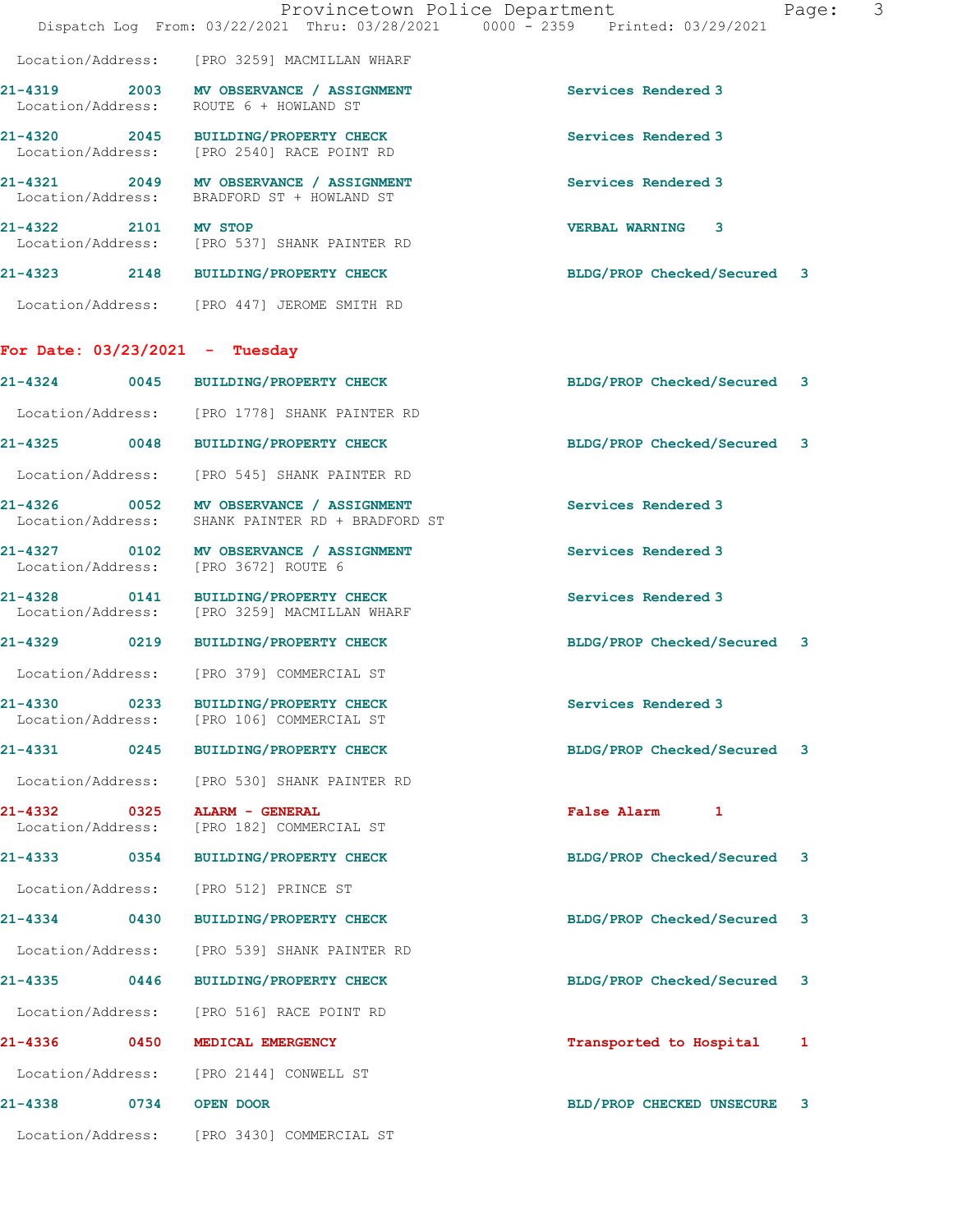|                                                          | Provincetown Police Department<br>Dispatch Log From: 03/22/2021 Thru: 03/28/2021 0000 - 2359 Printed: 03/29/2021 | Page:                          | 3 |
|----------------------------------------------------------|------------------------------------------------------------------------------------------------------------------|--------------------------------|---|
|                                                          | Location/Address: [PRO 3259] MACMILLAN WHARF                                                                     |                                |   |
|                                                          | 21-4319 2003 MV OBSERVANCE / ASSIGNMENT<br>Location/Address: ROUTE 6 + HOWLAND ST                                | Services Rendered 3            |   |
|                                                          | 21-4320 2045 BUILDING/PROPERTY CHECK<br>Location/Address: [PRO 2540] RACE POINT RD                               | Services Rendered 3            |   |
|                                                          | 21-4321 2049 MV OBSERVANCE / ASSIGNMENT<br>Location/Address: BRADFORD ST + HOWLAND ST                            | Services Rendered 3            |   |
| 21-4322 2101 MV STOP                                     | Location/Address: [PRO 537] SHANK PAINTER RD                                                                     | VERBAL WARNING 3               |   |
|                                                          | 21-4323 2148 BUILDING/PROPERTY CHECK                                                                             | BLDG/PROP Checked/Secured 3    |   |
|                                                          | Location/Address: [PRO 447] JEROME SMITH RD                                                                      |                                |   |
| For Date: $03/23/2021$ - Tuesday                         |                                                                                                                  |                                |   |
|                                                          | 21-4324 0045 BUILDING/PROPERTY CHECK                                                                             | BLDG/PROP Checked/Secured 3    |   |
|                                                          | Location/Address: [PRO 1778] SHANK PAINTER RD                                                                    |                                |   |
|                                                          | 21-4325 0048 BUILDING/PROPERTY CHECK                                                                             | BLDG/PROP Checked/Secured 3    |   |
|                                                          | Location/Address: [PRO 545] SHANK PAINTER RD                                                                     |                                |   |
|                                                          | 21-4326 0052 MV OBSERVANCE / ASSIGNMENT<br>Location/Address: SHANK PAINTER RD + BRADFORD ST                      | Services Rendered 3            |   |
| Location/Address:                                        | 21-4327 0102 MV OBSERVANCE / ASSIGNMENT<br>[PRO 3672] ROUTE 6                                                    | Services Rendered 3            |   |
|                                                          | 21-4328 0141 BUILDING/PROPERTY CHECK<br>Location/Address: [PRO 3259] MACMILLAN WHARF                             | Services Rendered 3            |   |
|                                                          | 21-4329 0219 BUILDING/PROPERTY CHECK                                                                             | BLDG/PROP Checked/Secured 3    |   |
|                                                          | Location/Address: [PRO 379] COMMERCIAL ST                                                                        |                                |   |
| 21-4330<br>Location/Address:                             | <b>BUILDING/PROPERTY CHECK</b><br>[PRO 106] COMMERCIAL ST                                                        | Services Rendered 3            |   |
| 21-4331 0245                                             | BUILDING/PROPERTY CHECK                                                                                          | BLDG/PROP Checked/Secured 3    |   |
| Location/Address:                                        | [PRO 530] SHANK PAINTER RD                                                                                       |                                |   |
| 21-4332<br>$\overline{\text{0325}}$<br>Location/Address: | ALARM - GENERAL<br>[PRO 182] COMMERCIAL ST                                                                       | <b>False Alarm</b><br>1        |   |
| 21-4333<br>0354                                          | BUILDING/PROPERTY CHECK                                                                                          | BLDG/PROP Checked/Secured 3    |   |
| Location/Address:                                        | [PRO 512] PRINCE ST                                                                                              |                                |   |
| 21-4334 0430                                             | <b>BUILDING/PROPERTY CHECK</b>                                                                                   | BLDG/PROP Checked/Secured 3    |   |
| Location/Address:                                        | [PRO 539] SHANK PAINTER RD                                                                                       |                                |   |
| $21 - 4335$<br>0446                                      | <b>BUILDING/PROPERTY CHECK</b>                                                                                   | BLDG/PROP Checked/Secured 3    |   |
| Location/Address:                                        | [PRO 516] RACE POINT RD                                                                                          |                                |   |
| 21-4336<br>0450                                          | MEDICAL EMERGENCY                                                                                                | Transported to Hospital<br>1   |   |
|                                                          | Location/Address: [PRO 2144] CONWELL ST                                                                          |                                |   |
| $21 - 4338$<br>0734                                      | OPEN DOOR                                                                                                        | BLD/PROP CHECKED UNSECURE<br>3 |   |
|                                                          | Location/Address: [PRO 3430] COMMERCIAL ST                                                                       |                                |   |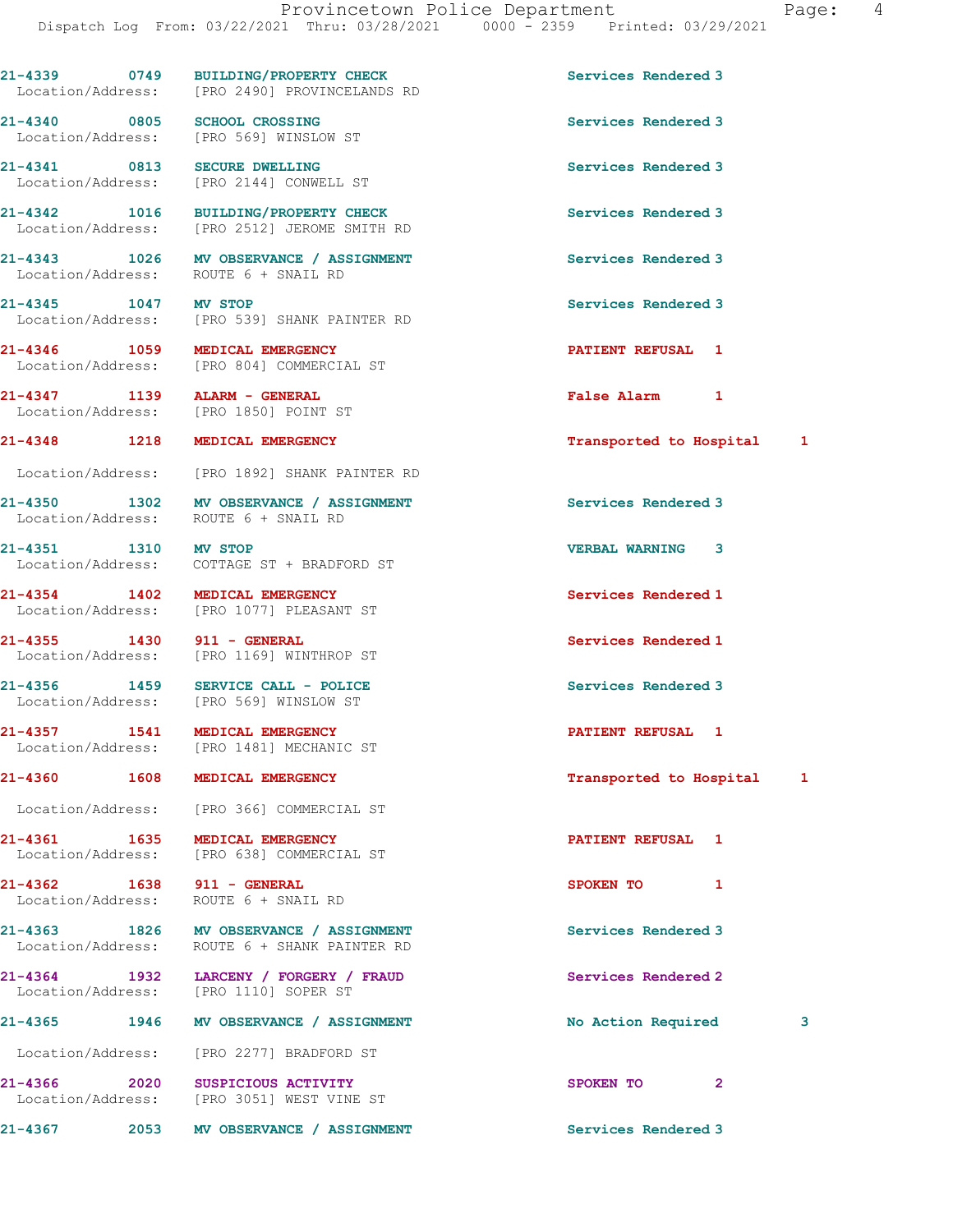21-4339 0749 BUILDING/PROPERTY CHECK Services Rendered 3 Location/Address: [PRO 2490] PROVINCELANDS RD 21-4340 0805 SCHOOL CROSSING Services Rendered 3 Location/Address: [PRO 569] WINSLOW ST 21-4341 0813 SECURE DWELLING Services Rendered 3 Location/Address: [PRO 2144] CONWELL ST 21-4342 1016 BUILDING/PROPERTY CHECK Services Rendered 3 Location/Address: [PRO 2512] JEROME SMITH RD 21-4343 1026 MV OBSERVANCE / ASSIGNMENT Services Rendered 3 Location/Address: ROUTE 6 + SNAIL RD 21-4345 1047 MV STOP Services Rendered 3 Location/Address: [PRO 539] SHANK PAINTER RD 21-4346 1059 MEDICAL EMERGENCY 10000 PATIENT REFUSAL 1 [PRO 804] COMMERCIAL ST 21-4347 1139 ALARM - GENERAL **False Alarm 1**<br>
Location/Address: [PRO 1850] POINT ST Location/Address: 21-4348 1218 MEDICAL EMERGENCY Transported to Hospital 1 Location/Address: [PRO 1892] SHANK PAINTER RD 21-4350 1302 MV OBSERVANCE / ASSIGNMENT Services Rendered 3 Location/Address: ROUTE 6 + SNAIL RD 21-4351 1310 MV STOP 2008 120 21-4351 21-4351 1310 Location/Address: COTTAGE ST + BRADFORD ST 21-4354 1402 MEDICAL EMERGENCY Services Rendered 1 Location/Address: [PRO 1077] PLEASANT ST 21-4355 1430 911 - GENERAL Services Rendered 1 Location/Address: [PRO 1169] WINTHROP ST 21-4356 1459 SERVICE CALL - POLICE Services Rendered 3 Location/Address: [PRO 569] WINSLOW ST 21-4357 1541 MEDICAL EMERGENCY 1 21-4357 PATIENT REFUSAL 1 Location/Address: [PRO 1481] MECHANIC ST 21-4360 1608 MEDICAL EMERGENCY **1608** Transported to Hospital 1 Location/Address: [PRO 366] COMMERCIAL ST 21-4361 1635 MEDICAL EMERGENCY PATIENT REFUSAL 1 [PRO 638] COMMERCIAL ST 21-4362 1638 911 - GENERAL SPOKEN TO 1 Location/Address: ROUTE 6 + SNAIL RD 21-4363 1826 MV OBSERVANCE / ASSIGNMENT Services Rendered 3 Location/Address: ROUTE 6 + SHANK PAINTER RD 21-4364 1932 LARCENY / FORGERY / FRAUD Services Rendered 2 Location/Address: [PRO 1110] SOPER ST 21-4365 1946 MV OBSERVANCE / ASSIGNMENT No Action Required 3 Location/Address: [PRO 2277] BRADFORD ST 21-4366 2020 SUSPICIOUS ACTIVITY SPOKEN TO 2 Location/Address: [PRO 3051] WEST VINE ST 21-4367 2053 MV OBSERVANCE / ASSIGNMENT Services Rendered 3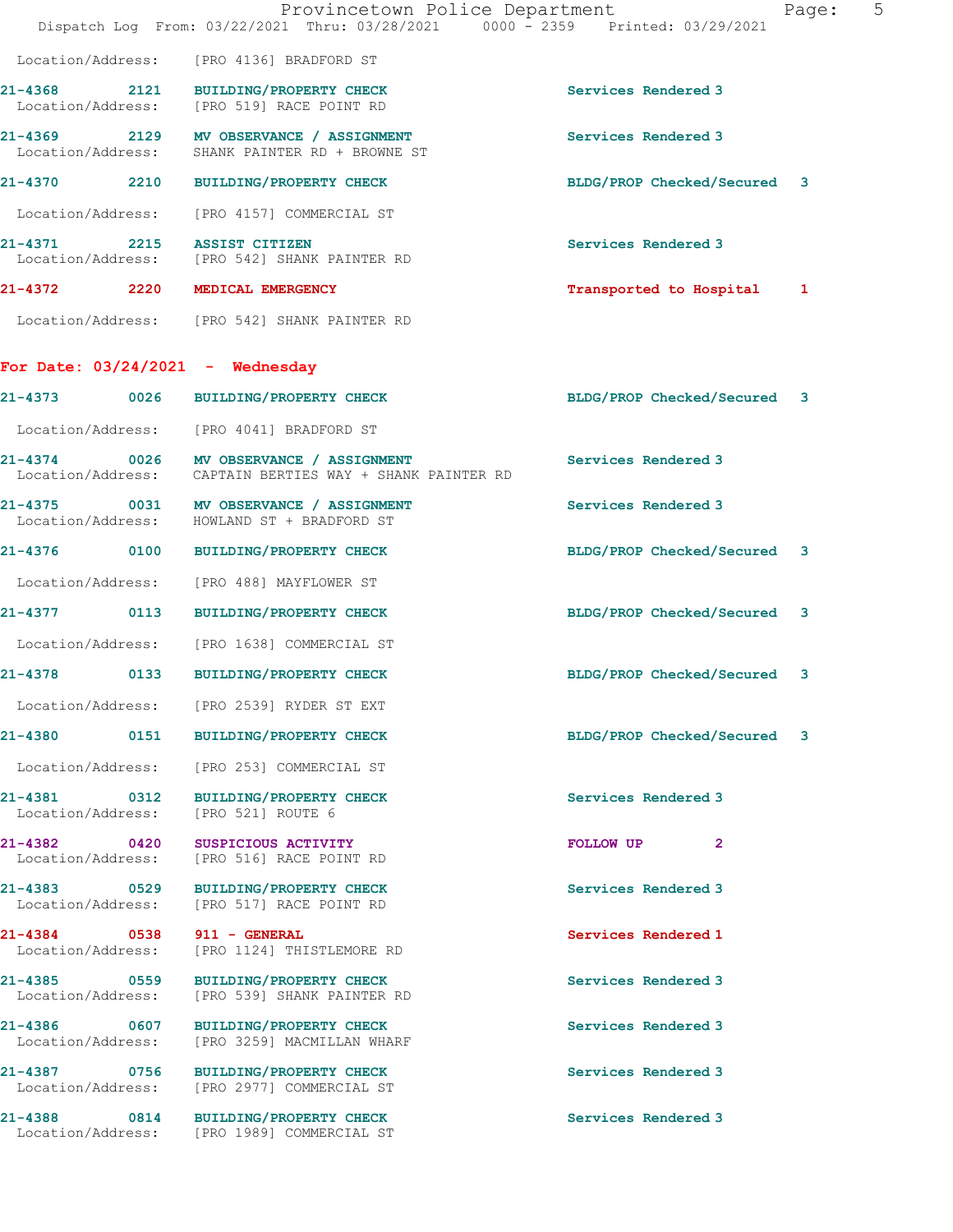|                                      | Provincetown Police Department<br>Dispatch Log From: 03/22/2021 Thru: 03/28/2021 0000 - 2359 Printed: 03/29/2021 |                             | Page: | 5 |
|--------------------------------------|------------------------------------------------------------------------------------------------------------------|-----------------------------|-------|---|
|                                      | Location/Address: [PRO 4136] BRADFORD ST                                                                         |                             |       |   |
| 2121<br>21-4368<br>Location/Address: | BUILDING/PROPERTY CHECK<br>[PRO 519] RACE POINT RD                                                               | Services Rendered 3         |       |   |
| Location/Address:                    | 21-4369 2129 MV OBSERVANCE / ASSIGNMENT<br>SHANK PAINTER RD + BROWNE ST                                          | Services Rendered 3         |       |   |
|                                      | 21-4370 2210 BUILDING/PROPERTY CHECK                                                                             | BLDG/PROP Checked/Secured 3 |       |   |
| Location/Address:                    | [PRO 4157] COMMERCIAL ST                                                                                         |                             |       |   |
| 21-4371                              | 2215 ASSIST CITIZEN<br>Location/Address: [PRO 542] SHANK PAINTER RD                                              | Services Rendered 3         |       |   |
| 21-4372 2220 MEDICAL EMERGENCY       |                                                                                                                  | Transported to Hospital 1   |       |   |
|                                      | Location/Address: [PRO 542] SHANK PAINTER RD                                                                     |                             |       |   |
| For Date: $03/24/2021$ - Wednesday   |                                                                                                                  |                             |       |   |
|                                      | 21-4373 0026 BUILDING/PROPERTY CHECK                                                                             | BLDG/PROP Checked/Secured 3 |       |   |
|                                      | Location/Address: [PRO 4041] BRADFORD ST                                                                         |                             |       |   |
|                                      | 21-4374 0026 MV OBSERVANCE / ASSIGNMENT<br>Location/Address: CAPTAIN BERTIES WAY + SHANK PAINTER RD              | Services Rendered 3         |       |   |
|                                      | 21-4375 0031 MV OBSERVANCE / ASSIGNMENT<br>Location/Address: HOWLAND ST + BRADFORD ST                            | Services Rendered 3         |       |   |
|                                      | 21-4376 0100 BUILDING/PROPERTY CHECK                                                                             | BLDG/PROP Checked/Secured 3 |       |   |
| Location/Address:                    | [PRO 488] MAYFLOWER ST                                                                                           |                             |       |   |
|                                      | 21-4377 0113 BUILDING/PROPERTY CHECK                                                                             | BLDG/PROP Checked/Secured 3 |       |   |
|                                      | Location/Address: [PRO 1638] COMMERCIAL ST                                                                       |                             |       |   |
| $21 - 4378$<br>0133                  | <b>BUILDING/PROPERTY CHECK</b>                                                                                   | BLDG/PROP Checked/Secured 3 |       |   |
| Location/Address:                    | [PRO 2539] RYDER ST EXT                                                                                          |                             |       |   |
| 21-4380                              | 0151 BUILDING/PROPERTY CHECK                                                                                     | BLDG/PROP Checked/Secured 3 |       |   |
|                                      | Location/Address: [PRO 253] COMMERCIAL ST                                                                        |                             |       |   |
| 21-4381 0312<br>Location/Address:    | <b>BUILDING/PROPERTY CHECK</b><br>[PRO 521] ROUTE 6                                                              | Services Rendered 3         |       |   |
| 21-4382 0420<br>Location/Address:    | SUSPICIOUS ACTIVITY<br>[PRO 516] RACE POINT RD                                                                   | FOLLOW UP<br>$\mathbf{2}$   |       |   |
| 21-4383 0529<br>Location/Address:    | <b>BUILDING/PROPERTY CHECK</b><br>[PRO 517] RACE POINT RD                                                        | Services Rendered 3         |       |   |
| 21-4384 0538<br>Location/Address:    | $911 - \text{GENERAL}$<br>[PRO 1124] THISTLEMORE RD                                                              | Services Rendered 1         |       |   |
| 21-4385 0559<br>Location/Address:    | <b>BUILDING/PROPERTY CHECK</b><br>[PRO 539] SHANK PAINTER RD                                                     | Services Rendered 3         |       |   |
| 21-4386 0607<br>Location/Address:    | <b>BUILDING/PROPERTY CHECK</b><br>[PRO 3259] MACMILLAN WHARF                                                     | Services Rendered 3         |       |   |
| 21-4387 0756<br>Location/Address:    | <b>BUILDING/PROPERTY CHECK</b><br>[PRO 2977] COMMERCIAL ST                                                       | Services Rendered 3         |       |   |
|                                      | 21-4388 0814 BUILDING/PROPERTY CHECK<br>Location/Address: [PRO 1989] COMMERCIAL ST                               | Services Rendered 3         |       |   |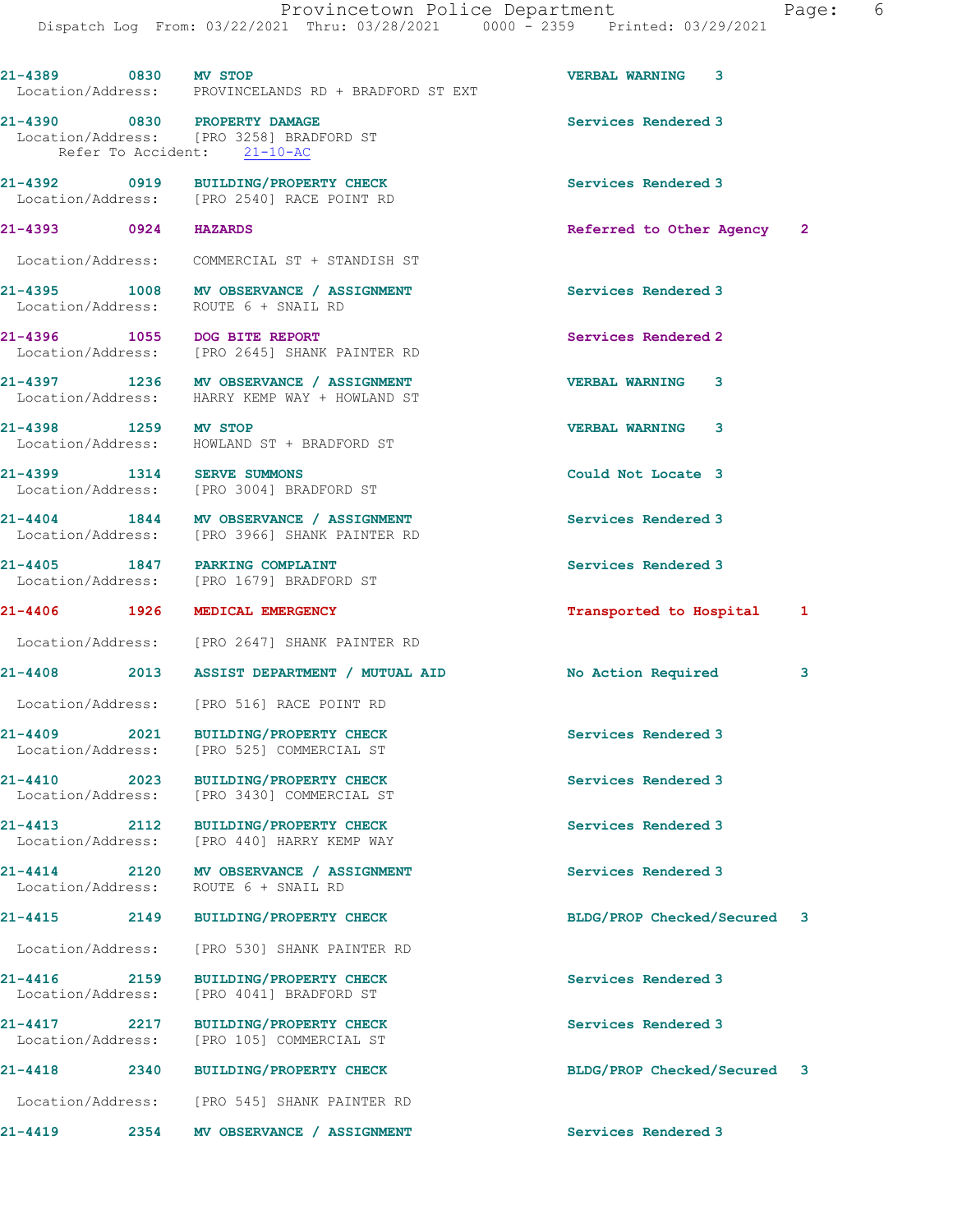| 21-4389 0830 MV STOP              |      | Location/Address: PROVINCELANDS RD + BRADFORD ST EXT                                                    | <b>VERBAL WARNING 3</b>     |   |
|-----------------------------------|------|---------------------------------------------------------------------------------------------------------|-----------------------------|---|
|                                   |      | 21-4390 0830 PROPERTY DAMAGE<br>Location/Address: [PRO 3258] BRADFORD ST<br>Refer To Accident: 21-10-AC | Services Rendered 3         |   |
|                                   |      | 21-4392 0919 BUILDING/PROPERTY CHECK<br>Location/Address: [PRO 2540] RACE POINT RD                      | Services Rendered 3         |   |
| 21-4393 0924 HAZARDS              |      |                                                                                                         | Referred to Other Agency 2  |   |
|                                   |      | Location/Address: COMMERCIAL ST + STANDISH ST                                                           |                             |   |
|                                   |      | 21-4395 1008 MV OBSERVANCE / ASSIGNMENT<br>Location/Address: ROUTE 6 + SNAIL RD                         | Services Rendered 3         |   |
|                                   |      | 21-4396 1055 DOG BITE REPORT<br>Location/Address: [PRO 2645] SHANK PAINTER RD                           | Services Rendered 2         |   |
|                                   |      | 21-4397 1236 MV OBSERVANCE / ASSIGNMENT<br>Location/Address: HARRY KEMP WAY + HOWLAND ST                | <b>VERBAL WARNING 3</b>     |   |
| 21-4398 1259 MV STOP              |      | Location/Address: HOWLAND ST + BRADFORD ST                                                              | <b>VERBAL WARNING 3</b>     |   |
|                                   |      | 21-4399 1314 SERVE SUMMONS<br>Location/Address: [PRO 3004] BRADFORD ST                                  | Could Not Locate 3          |   |
|                                   |      | 21-4404 1844 MV OBSERVANCE / ASSIGNMENT<br>Location/Address: [PRO 3966] SHANK PAINTER RD                | Services Rendered 3         |   |
|                                   |      | 21-4405 1847 PARKING COMPLAINT<br>Location/Address: [PRO 1679] BRADFORD ST                              | Services Rendered 3         |   |
|                                   |      | 21-4406 1926 MEDICAL EMERGENCY                                                                          | Transported to Hospital     | 1 |
|                                   |      | Location/Address: [PRO 2647] SHANK PAINTER RD                                                           |                             |   |
|                                   |      | 21-4408 2013 ASSIST DEPARTMENT / MUTUAL AID                                                             | <b>No Action Required</b>   | 3 |
|                                   |      | Location/Address: [PRO 516] RACE POINT RD                                                               |                             |   |
|                                   |      | 21-4409 2021 BUILDING/PROPERTY CHECK<br>Location/Address: [PRO 525] COMMERCIAL ST                       | Services Rendered 3         |   |
| $21 - 4410$                       | 2023 | <b>BUILDING/PROPERTY CHECK</b><br>Location/Address: [PRO 3430] COMMERCIAL ST                            | Services Rendered 3         |   |
| 21-4413 2112                      |      | <b>BUILDING/PROPERTY CHECK</b><br>Location/Address: [PRO 440] HARRY KEMP WAY                            | Services Rendered 3         |   |
| Location/Address:                 |      | 21-4414 2120 MV OBSERVANCE / ASSIGNMENT<br>ROUTE 6 + SNAIL RD                                           | Services Rendered 3         |   |
| $21 - 4415$ 2149                  |      | <b>BUILDING/PROPERTY CHECK</b>                                                                          | BLDG/PROP Checked/Secured 3 |   |
| Location/Address:                 |      | [PRO 530] SHANK PAINTER RD                                                                              |                             |   |
| 21-4416<br>Location/Address:      | 2159 | <b>BUILDING/PROPERTY CHECK</b><br>[PRO 4041] BRADFORD ST                                                | Services Rendered 3         |   |
| 21-4417 2217<br>Location/Address: |      | <b>BUILDING/PROPERTY CHECK</b><br>[PRO 105] COMMERCIAL ST                                               | Services Rendered 3         |   |
| $21 - 4418$                       | 2340 | <b>BUILDING/PROPERTY CHECK</b>                                                                          | BLDG/PROP Checked/Secured 3 |   |
|                                   |      | Location/Address: [PRO 545] SHANK PAINTER RD                                                            |                             |   |
| $21 - 4419$                       | 2354 | MV OBSERVANCE / ASSIGNMENT                                                                              | Services Rendered 3         |   |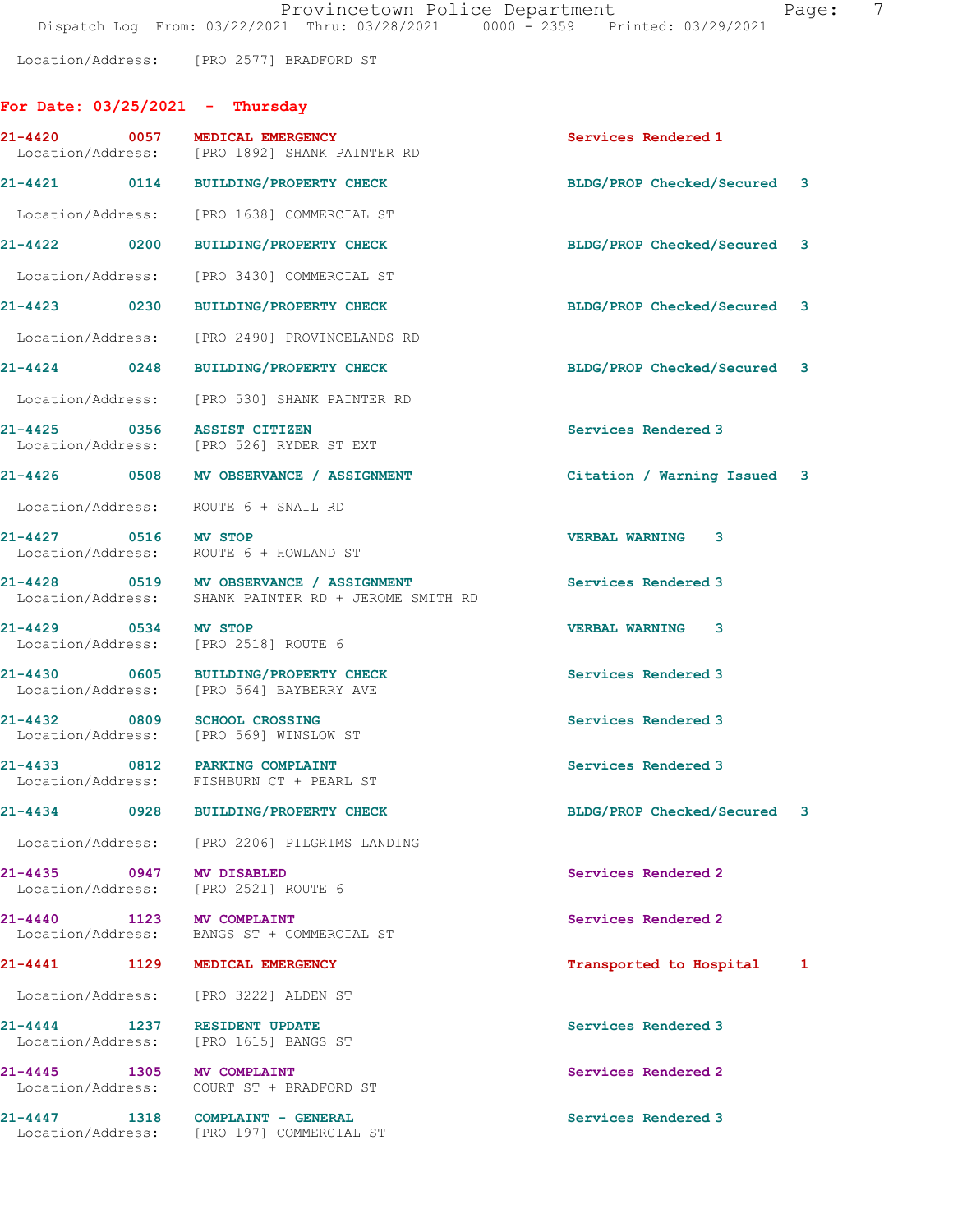Location/Address: [PRO 2577] BRADFORD ST

## For Date: 03/25/2021 - Thursday

|         |                           | FOI Date: 03/23/2021 - Indisday                                                                 |                             |   |
|---------|---------------------------|-------------------------------------------------------------------------------------------------|-----------------------------|---|
|         |                           | 21-4420 0057 MEDICAL EMERGENCY<br>Location/Address: [PRO 1892] SHANK PAINTER RD                 | Services Rendered 1         |   |
|         |                           | 21-4421 0114 BUILDING/PROPERTY CHECK                                                            | BLDG/PROP Checked/Secured 3 |   |
|         |                           | Location/Address: [PRO 1638] COMMERCIAL ST                                                      |                             |   |
|         |                           | 21-4422 0200 BUILDING/PROPERTY CHECK                                                            | BLDG/PROP Checked/Secured 3 |   |
|         |                           | Location/Address: [PRO 3430] COMMERCIAL ST                                                      |                             |   |
|         | 21-4423 0230              | BUILDING/PROPERTY CHECK                                                                         | BLDG/PROP Checked/Secured 3 |   |
|         |                           | Location/Address: [PRO 2490] PROVINCELANDS RD                                                   |                             |   |
|         | $21 - 4424$ 0248          | BUILDING/PROPERTY CHECK                                                                         | BLDG/PROP Checked/Secured 3 |   |
|         |                           | Location/Address: [PRO 530] SHANK PAINTER RD                                                    |                             |   |
|         |                           | 21-4425 0356 ASSIST CITIZEN<br>Location/Address: [PRO 526] RYDER ST EXT                         | Services Rendered 3         |   |
|         |                           | 21-4426 0508 MV OBSERVANCE / ASSIGNMENT                                                         | Citation / Warning Issued 3 |   |
|         |                           | Location/Address: ROUTE 6 + SNAIL RD                                                            |                             |   |
|         |                           | 21-4427 0516 MV STOP<br>Location/Address: ROUTE 6 + HOWLAND ST                                  | <b>VERBAL WARNING 3</b>     |   |
|         |                           | 21-4428 0519 MV OBSERVANCE / ASSIGNMENT<br>Location/Address: SHANK PAINTER RD + JEROME SMITH RD | Services Rendered 3         |   |
|         | 21-4429 0534 MV STOP      | Location/Address: [PRO 2518] ROUTE 6                                                            | <b>VERBAL WARNING 3</b>     |   |
|         |                           | 21-4430 0605 BUILDING/PROPERTY CHECK<br>Location/Address: [PRO 564] BAYBERRY AVE                | Services Rendered 3         |   |
|         | 21-4432 0809              | <b>SCHOOL CROSSING</b><br>Location/Address: [PRO 569] WINSLOW ST                                | Services Rendered 3         |   |
|         |                           | 21-4433 0812 PARKING COMPLAINT<br>Location/Address: FISHBURN CT + PEARL ST                      | Services Rendered 3         |   |
| 21-4434 | 0928                      | <b>BUILDING/PROPERTY CHECK</b>                                                                  | BLDG/PROP Checked/Secured 3 |   |
|         |                           | Location/Address: [PRO 2206] PILGRIMS LANDING                                                   |                             |   |
|         |                           | 21-4435 0947 MV DISABLED<br>Location/Address: [PRO 2521] ROUTE 6                                | Services Rendered 2         |   |
|         |                           | 21-4440 1123 MV COMPLAINT<br>Location/Address: BANGS ST + COMMERCIAL ST                         | Services Rendered 2         |   |
|         | 21-4441 1129              | MEDICAL EMERGENCY                                                                               | Transported to Hospital     | 1 |
|         | Location/Address:         | [PRO 3222] ALDEN ST                                                                             |                             |   |
| 21-4444 | 1237<br>Location/Address: | <b>RESIDENT UPDATE</b><br>[PRO 1615] BANGS ST                                                   | Services Rendered 3         |   |
|         | Location/Address:         | 21-4445 1305 MV COMPLAINT<br>COURT ST + BRADFORD ST                                             | Services Rendered 2         |   |
| 21-4447 | Location/Address:         | 1318 COMPLAINT - GENERAL<br>[PRO 197] COMMERCIAL ST                                             | Services Rendered 3         |   |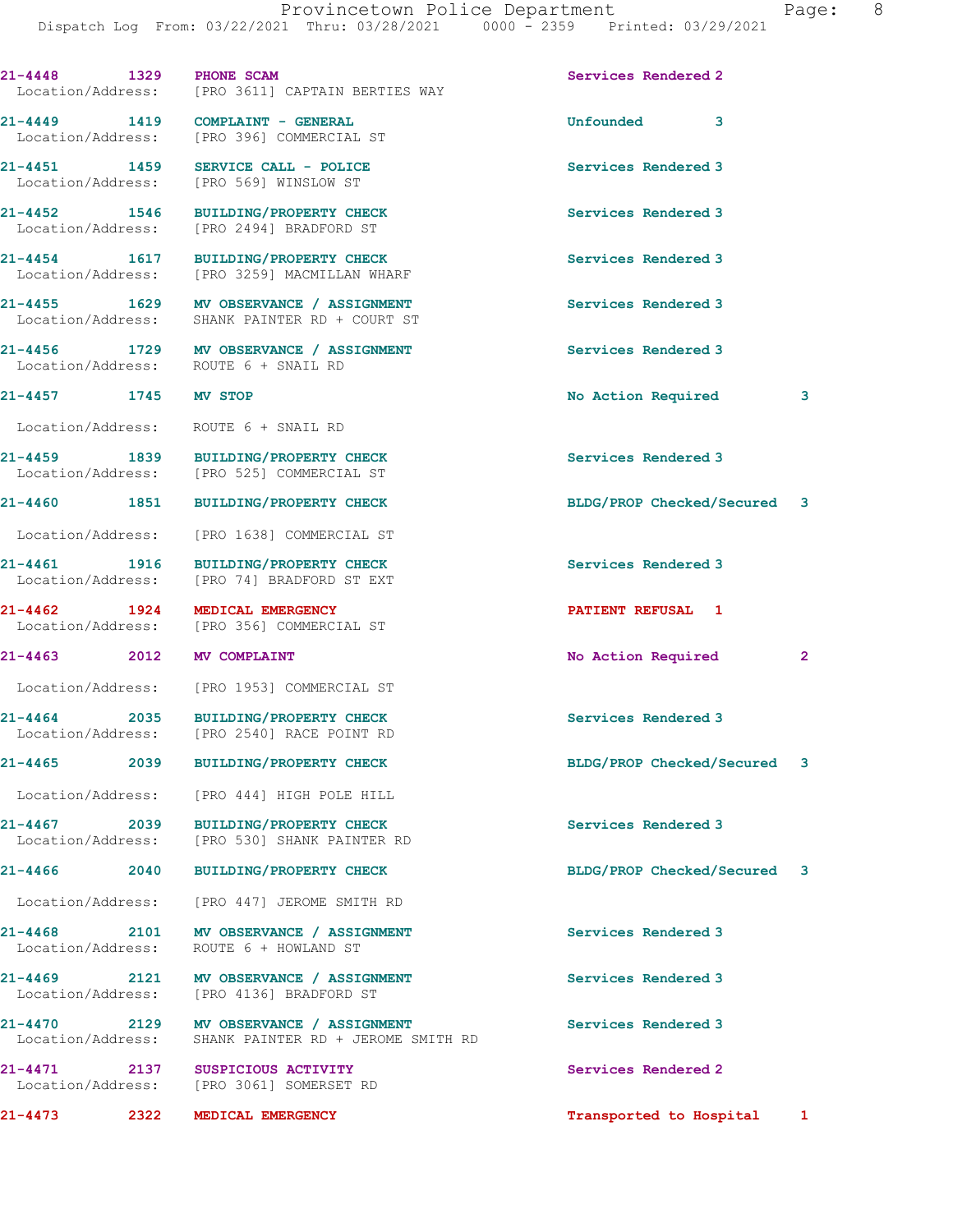| 21-4448 1329 PHONE SCAM                  |      | Location/Address: [PRO 3611] CAPTAIN BERTIES WAY                                         | Services Rendered 2         |              |
|------------------------------------------|------|------------------------------------------------------------------------------------------|-----------------------------|--------------|
|                                          |      | 21-4449 1419 COMPLAINT - GENERAL<br>Location/Address: [PRO 396] COMMERCIAL ST            | Unfounded 3                 |              |
|                                          |      | 21-4451 1459 SERVICE CALL - POLICE<br>Location/Address: [PRO 569] WINSLOW ST             | Services Rendered 3         |              |
|                                          |      | 21-4452 1546 BUILDING/PROPERTY CHECK<br>Location/Address: [PRO 2494] BRADFORD ST         | Services Rendered 3         |              |
|                                          |      | 21-4454 1617 BUILDING/PROPERTY CHECK<br>Location/Address: [PRO 3259] MACMILLAN WHARF     | Services Rendered 3         |              |
|                                          |      | 21-4455 1629 MV OBSERVANCE / ASSIGNMENT<br>Location/Address: SHANK PAINTER RD + COURT ST | Services Rendered 3         |              |
|                                          |      | 21-4456 1729 MV OBSERVANCE / ASSIGNMENT<br>Location/Address: ROUTE 6 + SNAIL RD          | Services Rendered 3         |              |
| 21-4457 1745 MV STOP                     |      |                                                                                          | No Action Required          | 3            |
|                                          |      | Location/Address: ROUTE 6 + SNAIL RD                                                     |                             |              |
|                                          |      | 21-4459 1839 BUILDING/PROPERTY CHECK<br>Location/Address: [PRO 525] COMMERCIAL ST        | Services Rendered 3         |              |
|                                          |      | 21-4460 1851 BUILDING/PROPERTY CHECK                                                     | BLDG/PROP Checked/Secured 3 |              |
|                                          |      | Location/Address: [PRO 1638] COMMERCIAL ST                                               |                             |              |
|                                          |      | 21-4461 1916 BUILDING/PROPERTY CHECK<br>Location/Address: [PRO 74] BRADFORD ST EXT       | Services Rendered 3         |              |
|                                          |      | 21-4462 1924 MEDICAL EMERGENCY<br>Location/Address: [PRO 356] COMMERCIAL ST              | <b>PATIENT REFUSAL 1</b>    |              |
| 21-4463 2012 MV COMPLAINT                |      |                                                                                          | No Action Required          | $\mathbf{2}$ |
|                                          |      | Location/Address: [PRO 1953] COMMERCIAL ST                                               |                             |              |
|                                          |      | 21-4464 2035 BUILDING/PROPERTY CHECK<br>Location/Address: [PRO 2540] RACE POINT RD       | Services Rendered 3         |              |
| $21 - 4465$                              | 2039 | <b>BUILDING/PROPERTY CHECK</b>                                                           | BLDG/PROP Checked/Secured   | 3            |
| Location/Address:                        |      | [PRO 444] HIGH POLE HILL                                                                 |                             |              |
| $21 - 4467$<br>Location/Address:         | 2039 | <b>BUILDING/PROPERTY CHECK</b><br>[PRO 530] SHANK PAINTER RD                             | Services Rendered 3         |              |
| $21 - 4466$                              | 2040 | <b>BUILDING/PROPERTY CHECK</b>                                                           | BLDG/PROP Checked/Secured   | 3            |
| Location/Address:                        |      | [PRO 447] JEROME SMITH RD                                                                |                             |              |
| $21 - 4468$<br>Location/Address:         | 2101 | MV OBSERVANCE / ASSIGNMENT<br>ROUTE 6 + HOWLAND ST                                       | Services Rendered 3         |              |
| $21 - 4469$                              |      | 2121 MV OBSERVANCE / ASSIGNMENT<br>Location/Address: [PRO 4136] BRADFORD ST              | Services Rendered 3         |              |
| $21 - 4470$<br>2129<br>Location/Address: |      | MV OBSERVANCE / ASSIGNMENT<br>SHANK PAINTER RD + JEROME SMITH RD                         | Services Rendered 3         |              |
| $21 - 4471$<br>Location/Address:         | 2137 | <b>SUSPICIOUS ACTIVITY</b><br>[PRO 3061] SOMERSET RD                                     | Services Rendered 2         |              |
| 21-4473                                  | 2322 | MEDICAL EMERGENCY                                                                        | Transported to Hospital     | 1            |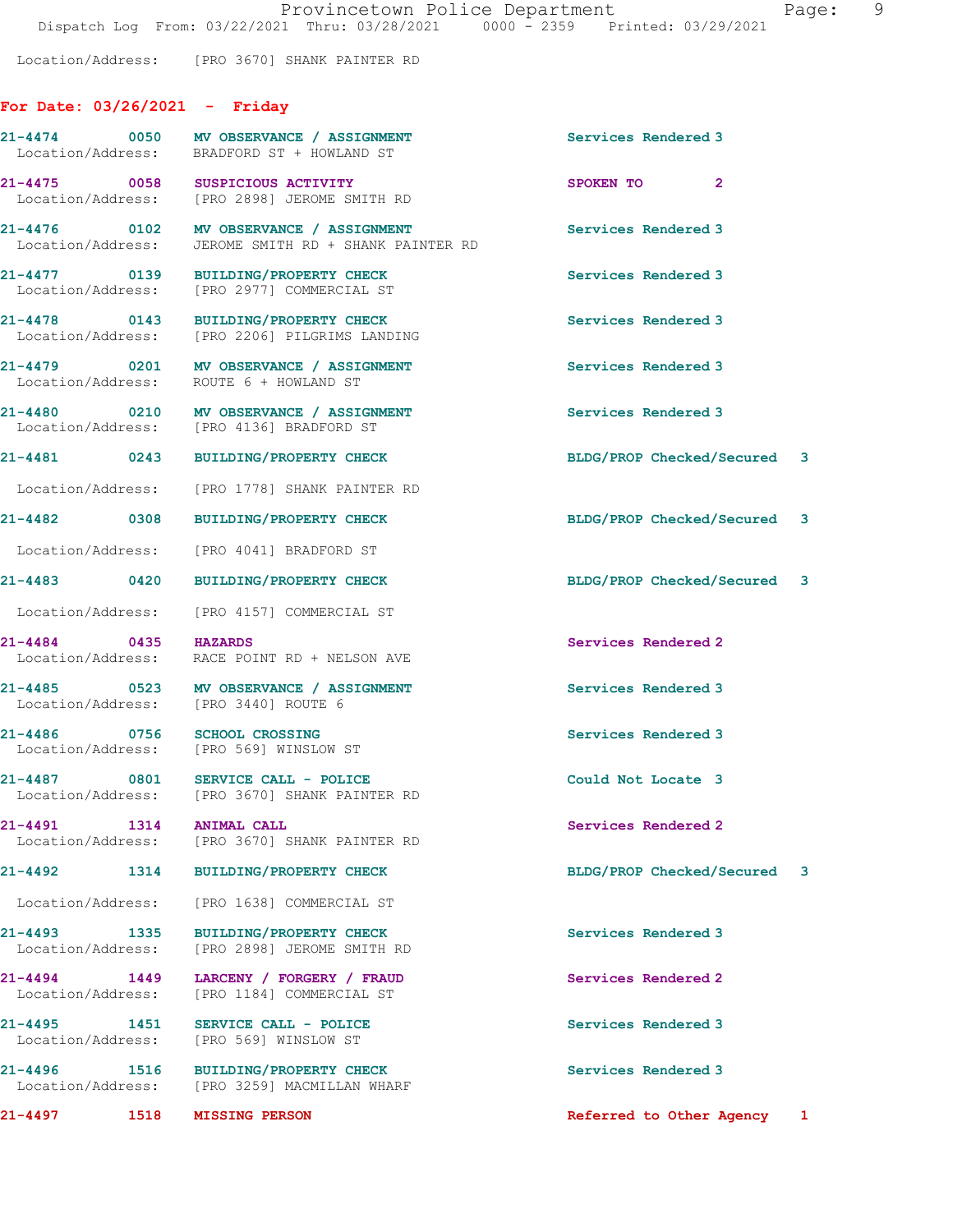Location/Address: [PRO 3670] SHANK PAINTER RD

## For Date: 03/26/2021 - Friday

| 21-4497                                              | 1518 | <b>MISSING PERSON</b>                                                         | Referred to Other Agency 1  |              |   |
|------------------------------------------------------|------|-------------------------------------------------------------------------------|-----------------------------|--------------|---|
| 21-4496<br>1516<br>Location/Address:                 |      | <b>BUILDING/PROPERTY CHECK</b><br>[PRO 3259] MACMILLAN WHARF                  | Services Rendered 3         |              |   |
| 21-4495 1451<br>Location/Address:                    |      | SERVICE CALL - POLICE<br>[PRO 569] WINSLOW ST                                 | Services Rendered 3         |              |   |
| $21 - 4494$ 1449<br>Location/Address:                |      | LARCENY / FORGERY / FRAUD<br>[PRO 1184] COMMERCIAL ST                         | Services Rendered 2         |              |   |
| 21-4493 1335<br>Location/Address:                    |      | <b>BUILDING/PROPERTY CHECK</b><br>[PRO 2898] JEROME SMITH RD                  | Services Rendered 3         |              |   |
|                                                      |      | Location/Address: [PRO 1638] COMMERCIAL ST                                    |                             |              |   |
| $21 - 4492$                                          | 1314 | <b>BUILDING/PROPERTY CHECK</b>                                                | BLDG/PROP Checked/Secured   |              | 3 |
| 21-4491 1314 ANIMAL CALL<br>Location/Address:        |      | [PRO 3670] SHANK PAINTER RD                                                   | Services Rendered 2         |              |   |
| 21-4487 0801                                         |      | SERVICE CALL - POLICE<br>Location/Address: [PRO 3670] SHANK PAINTER RD        | Could Not Locate 3          |              |   |
| 21-4486 0756                                         |      | <b>SCHOOL CROSSING</b><br>Location/Address: [PRO 569] WINSLOW ST              | Services Rendered 3         |              |   |
| 21-4485 0523<br>Location/Address: [PRO 3440] ROUTE 6 |      | MV OBSERVANCE / ASSIGNMENT                                                    | Services Rendered 3         |              |   |
| 21-4484 0435                                         |      | <b>HAZARDS</b><br>Location/Address: RACE POINT RD + NELSON AVE                | Services Rendered 2         |              |   |
|                                                      |      | Location/Address: [PRO 4157] COMMERCIAL ST                                    |                             |              |   |
| $21 - 4483$ 0420                                     |      | <b>BUILDING/PROPERTY CHECK</b>                                                | BLDG/PROP Checked/Secured 3 |              |   |
| Location/Address:                                    |      | [PRO 4041] BRADFORD ST                                                        |                             |              |   |
| 21-4482 0308                                         |      | <b>BUILDING/PROPERTY CHECK</b>                                                | BLDG/PROP Checked/Secured 3 |              |   |
| Location/Address:                                    |      | [PRO 1778] SHANK PAINTER RD                                                   |                             |              |   |
| 21-4481 0243                                         |      | <b>BUILDING/PROPERTY CHECK</b>                                                | BLDG/PROP Checked/Secured 3 |              |   |
| 21-4480 0210<br>Location/Address:                    |      | MV OBSERVANCE / ASSIGNMENT<br>[PRO 4136] BRADFORD ST                          | Services Rendered 3         |              |   |
| 21-4479 0201<br>Location/Address:                    |      | MV OBSERVANCE / ASSIGNMENT<br>ROUTE 6 + HOWLAND ST                            | Services Rendered 3         |              |   |
| 21-4478 0143<br>Location/Address:                    |      | BUILDING/PROPERTY CHECK<br>[PRO 2206] PILGRIMS LANDING                        | Services Rendered 3         |              |   |
| 21-4477 0139<br>Location/Address:                    |      | BUILDING/PROPERTY CHECK<br>[PRO 2977] COMMERCIAL ST                           | Services Rendered 3         |              |   |
| Location/Address:                                    |      | 21-4476 0102 MV OBSERVANCE / ASSIGNMENT<br>JEROME SMITH RD + SHANK PAINTER RD | Services Rendered 3         |              |   |
| 21-4475 0058<br>Location/Address:                    |      | SUSPICIOUS ACTIVITY<br>[PRO 2898] JEROME SMITH RD                             | SPOKEN TO                   | $\mathbf{2}$ |   |
| 21-4474 0050                                         |      | MV OBSERVANCE / ASSIGNMENT<br>Location/Address: BRADFORD ST + HOWLAND ST      | Services Rendered 3         |              |   |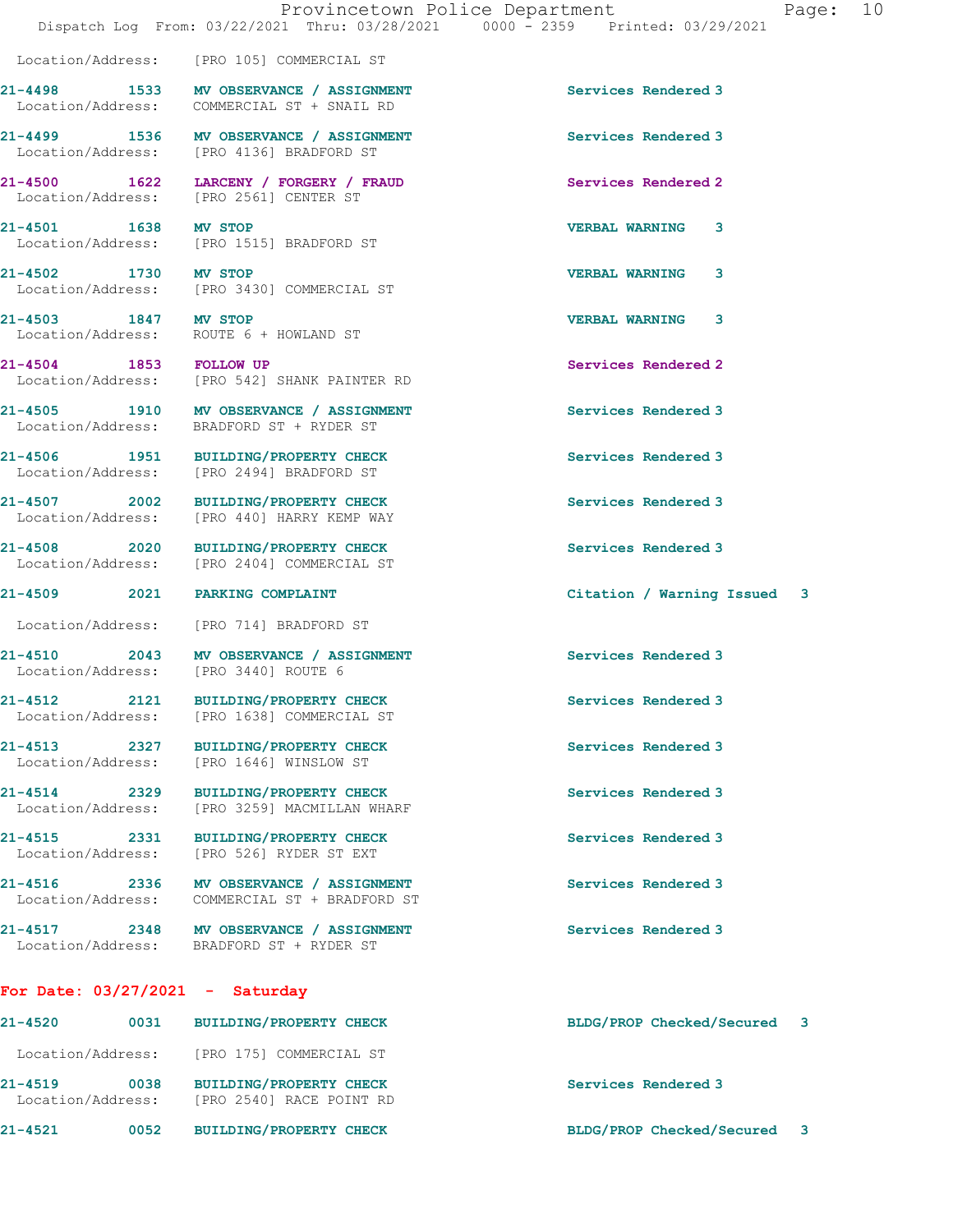Location/Address: [PRO 105] COMMERCIAL ST

21-4498 1533 MV OBSERVANCE / ASSIGNMENT Services Rendered 3 Location/Address: COMMERCIAL ST + SNAIL RD

Location/Address: [PRO 3430] COMMERCIAL ST

Location/Address: ROUTE 6 + HOWLAND ST

Location/Address: [PRO 440] HARRY KEMP WAY

Location/Address: [PRO 526] RYDER ST EXT

Location/Address: COMMERCIAL ST + BRADFORD ST

21-4517 2348 MV OBSERVANCE / ASSIGNMENT Services Rendered 3 Location/Address: BRADFORD ST + RYDER ST

## For Date: 03/27/2021 - Saturday

21-4520 0031 BUILDING/PROPERTY CHECK BLDG/PROP Checked/Secured 3 Location/Address: [PRO 175] COMMERCIAL ST 21-4519 0038 BUILDING/PROPERTY CHECK Services Rendered 3 Location/Address: [PRO 2540] RACE POINT RD 21-4521 0052 BUILDING/PROPERTY CHECK BLDG/PROP Checked/Secured 3

21-4499 1536 MV OBSERVANCE / ASSIGNMENT Services Rendered 3<br>
Location/Address: [PRO 4136] BRADFORD ST [PRO 4136] BRADFORD ST 21-4500 1622 LARCENY / FORGERY / FRAUD Services Rendered 2 Location/Address: [PRO 2561] CENTER ST 21-4501 1638 MV STOP 1638 MV STOP 160 VERBAL WARNING 3<br>
Location/Address: [PRO 1515] BRADFORD ST [PRO 1515] BRADFORD ST 21-4502 1730 MV STOP VERBAL WARNING 3

21-4503 1847 MV STOP VERBAL WARNING 3

21-4504 1853 FOLLOW UP Services Rendered 2 Location/Address: [PRO 542] SHANK PAINTER RD

21-4505 1910 MV OBSERVANCE / ASSIGNMENT Services Rendered 3<br>
Location/Address: BRADFORD ST + RYDER ST BRADFORD ST + RYDER ST

21-4506 1951 BUILDING/PROPERTY CHECK Services Rendered 3 Location/Address: [PRO 2494] BRADFORD ST

21-4507 2002 BUILDING/PROPERTY CHECK Services Rendered 3

Location/Address: [PRO 2404] COMMERCIAL ST

Location/Address: [PRO 1638] COMMERCIAL ST

21-4513 2327 BUILDING/PROPERTY CHECK Services Rendered 3 Location/Address: [PRO 1646] WINSLOW ST

Location/Address: [PRO 3259] MACMILLAN WHARF

21-4516 2336 MV OBSERVANCE / ASSIGNMENT Services Rendered 3

Location/Address: [PRO 3440] ROUTE 6

21-4509 2021 PARKING COMPLAINT Citation / Warning Issued 3

21-4515 2331 BUILDING/PROPERTY CHECK Services Rendered 3<br>
Location/Address: [PRO 526] RYDER ST EXT

21-4514 2329 BUILDING/PROPERTY CHECK Services Rendered 3

21-4512 2121 BUILDING/PROPERTY CHECK Services Rendered 3

21-4510 2043 MV OBSERVANCE / ASSIGNMENT Services Rendered 3

Location/Address: [PRO 714] BRADFORD ST

21-4508 2020 BUILDING/PROPERTY CHECK Services Rendered 3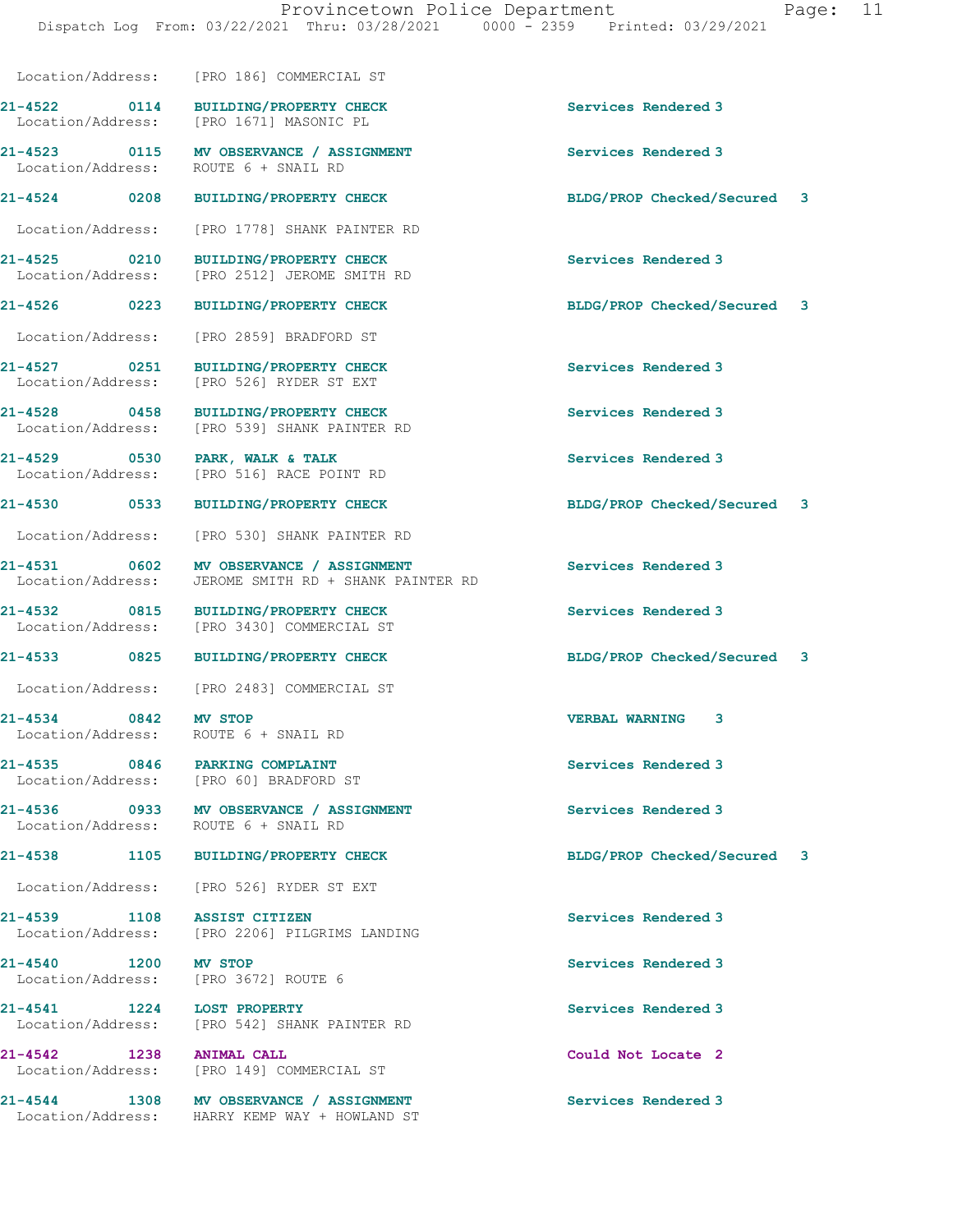21-4522 0114 BUILDING/PROPERTY CHECK Services Rendered 3 Location/Address: [PRO 1671] MASONIC PL 21-4523 0115 MV OBSERVANCE / ASSIGNMENT Services Rendered 3 Location/Address: ROUTE 6 + SNAIL RD

21-4524 0208 BUILDING/PROPERTY CHECK BLDG/PROP Checked/Secured 3

Location/Address: [PRO 186] COMMERCIAL ST

Location/Address: [PRO 1778] SHANK PAINTER RD

21-4525 0210 BUILDING/PROPERTY CHECK Services Rendered 3 Location/Address: [PRO 2512] JEROME SMITH RD

Location/Address: [PRO 2859] BRADFORD ST

21-4527 0251 BUILDING/PROPERTY CHECK Services Rendered 3 Location/Address: [PRO 526] RYDER ST EXT

21-4528 0458 BUILDING/PROPERTY CHECK Services Rendered 3 Location/Address: [PRO 539] SHANK PAINTER RD

21-4529 0530 PARK, WALK & TALK Services Rendered 3 Location/Address: [PRO 516] RACE POINT RD

Location/Address: [PRO 530] SHANK PAINTER RD

21-4531 0602 MV OBSERVANCE / ASSIGNMENT Services Rendered 3 Location/Address: JEROME SMITH RD + SHANK PAINTER RD

21-4532 0815 BUILDING/PROPERTY CHECK Services Rendered 3 [PRO 3430] COMMERCIAL ST

Location/Address: [PRO 2483] COMMERCIAL ST

Location/Address: ROUTE 6 + SNAIL RD

21-4535 0846 PARKING COMPLAINT Services Rendered 3 Location/Address: [PRO 60] BRADFORD ST

21-4536 0933 MV OBSERVANCE / ASSIGNMENT Services Rendered 3 Location/Address: ROUTE 6 + SNAIL RD

Location/Address: [PRO 526] RYDER ST EXT

21-4539 1108 ASSIST CITIZEN Services Rendered 3 Location/Address: [PRO 2206] PILGRIMS LANDING

Location/Address: [PRO 3672] ROUTE 6

21-4541 1224 LOST PROPERTY Services Rendered 3 Location/Address: [PRO 542] SHANK PAINTER RD

21-4542 1238 ANIMAL CALL Could Not Locate 2 Location/Address: [PRO 149] COMMERCIAL ST

21-4544 1308 MV OBSERVANCE / ASSIGNMENT Services Rendered 3 Location/Address: HARRY KEMP WAY + HOWLAND ST

21-4526 0223 BUILDING/PROPERTY CHECK BLDG/PROP Checked/Secured 3

21-4530 0533 BUILDING/PROPERTY CHECK BLDG/PROP Checked/Secured 3

21-4533 0825 BUILDING/PROPERTY CHECK BLDG/PROP Checked/Secured 3

21-4534 0842 MV STOP VERBAL WARNING 3

21-4538 1105 BUILDING/PROPERTY CHECK BLDG/PROP Checked/Secured 3

21-4540 1200 MV STOP Services Rendered 3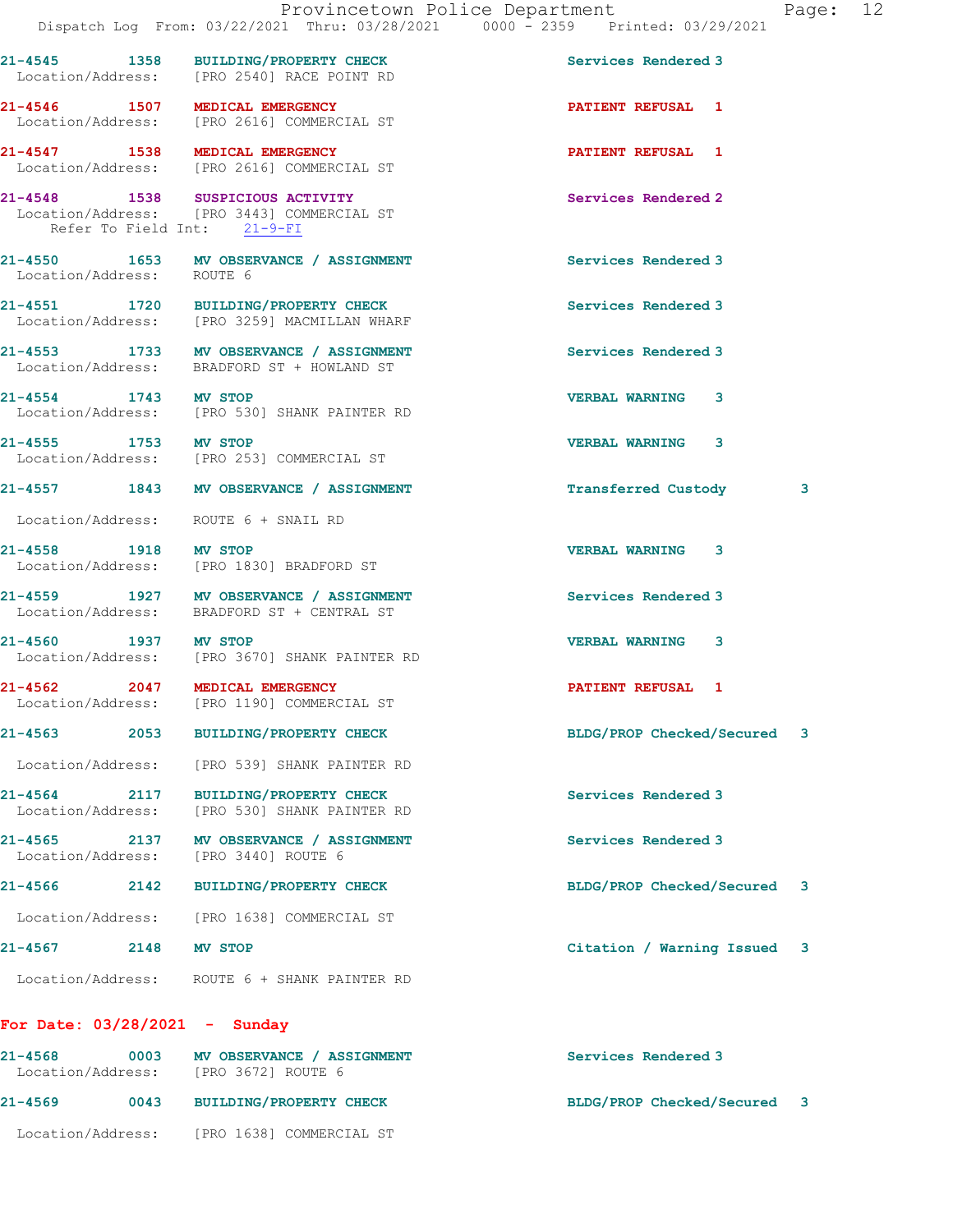21-4545 1358 BUILDING/PROPERTY CHECK Services Rendered 3

21-4546 1507 MEDICAL EMERGENCY PATIENT REFUSAL 1

Location/Address: [PRO 2540] RACE POINT RD

 Location/Address: [PRO 2616] COMMERCIAL ST 21-4547 1538 MEDICAL EMERGENCY PATIENT REFUSAL 1 Location/Address: [PRO 2616] COMMERCIAL ST 21-4548 1538 SUSPICIOUS ACTIVITY Services Rendered 2 Location/Address: [PRO 3443] COMMERCIAL ST Refer To Field Int: 21-9-FI 21-4550 1653 MV OBSERVANCE / ASSIGNMENT Services Rendered 3 Location/Address: ROUTE 6 21-4551 1720 BUILDING/PROPERTY CHECK Services Rendered 3 Location/Address: [PRO 3259] MACMILLAN WHARF 21-4553 1733 MV OBSERVANCE / ASSIGNMENT Services Rendered 3 Location/Address: BRADFORD ST + HOWLAND ST 21-4554 1743 MV STOP VERBAL WARNING 3 Location/Address: [PRO 530] SHANK PAINTER RD 21-4555 1753 MV STOP 20 21-4555 20 VERBAL WARNING 3 Location/Address: [PRO 253] COMMERCIAL ST 21-4557 1843 MV OBSERVANCE / ASSIGNMENT Transferred Custody 3 Location/Address: ROUTE 6 + SNAIL RD 21-4558 1918 MV STOP VERBAL WARNING 3 Location/Address: [PRO 1830] BRADFORD ST 21-4559 1927 MV OBSERVANCE / ASSIGNMENT Services Rendered 3 Location/Address: BRADFORD ST + CENTRAL ST 21-4560 1937 MV STOP<br>
Location/Address: [PRO 3670] SHANK PAINTER RD [PRO 3670] SHANK PAINTER RD 21-4562 2047 MEDICAL EMERGENCY 2001 2012 PATIENT REFUSAL 1 Location/Address: [PRO 1190] COMMERCIAL ST 21-4563 2053 BUILDING/PROPERTY CHECK BLDG/PROP Checked/Secured 3 Location/Address: [PRO 539] SHANK PAINTER RD 21-4564 2117 BUILDING/PROPERTY CHECK Services Rendered 3<br>
Location/Address: [PRO 530] SHANK PAINTER RD Location/Address: [PRO 530] SHANK PAINTER RD 21-4565 2137 MV OBSERVANCE / ASSIGNMENT Services Rendered 3 Location/Address: [PRO 3440] ROUTE 6 21-4566 2142 BUILDING/PROPERTY CHECK BLDG/PROP Checked/Secured 3 Location/Address: [PRO 1638] COMMERCIAL ST 21-4567 2148 MV STOP Citation / Warning Issued 3 Location/Address: ROUTE 6 + SHANK PAINTER RD For Date: 03/28/2021 - Sunday 21-4568 0003 MV OBSERVANCE / ASSIGNMENT Services Rendered 3

## Location/Address: [PRO 3672] ROUTE 6 21-4569 0043 BUILDING/PROPERTY CHECK BLDG/PROP Checked/Secured 3 Location/Address: [PRO 1638] COMMERCIAL ST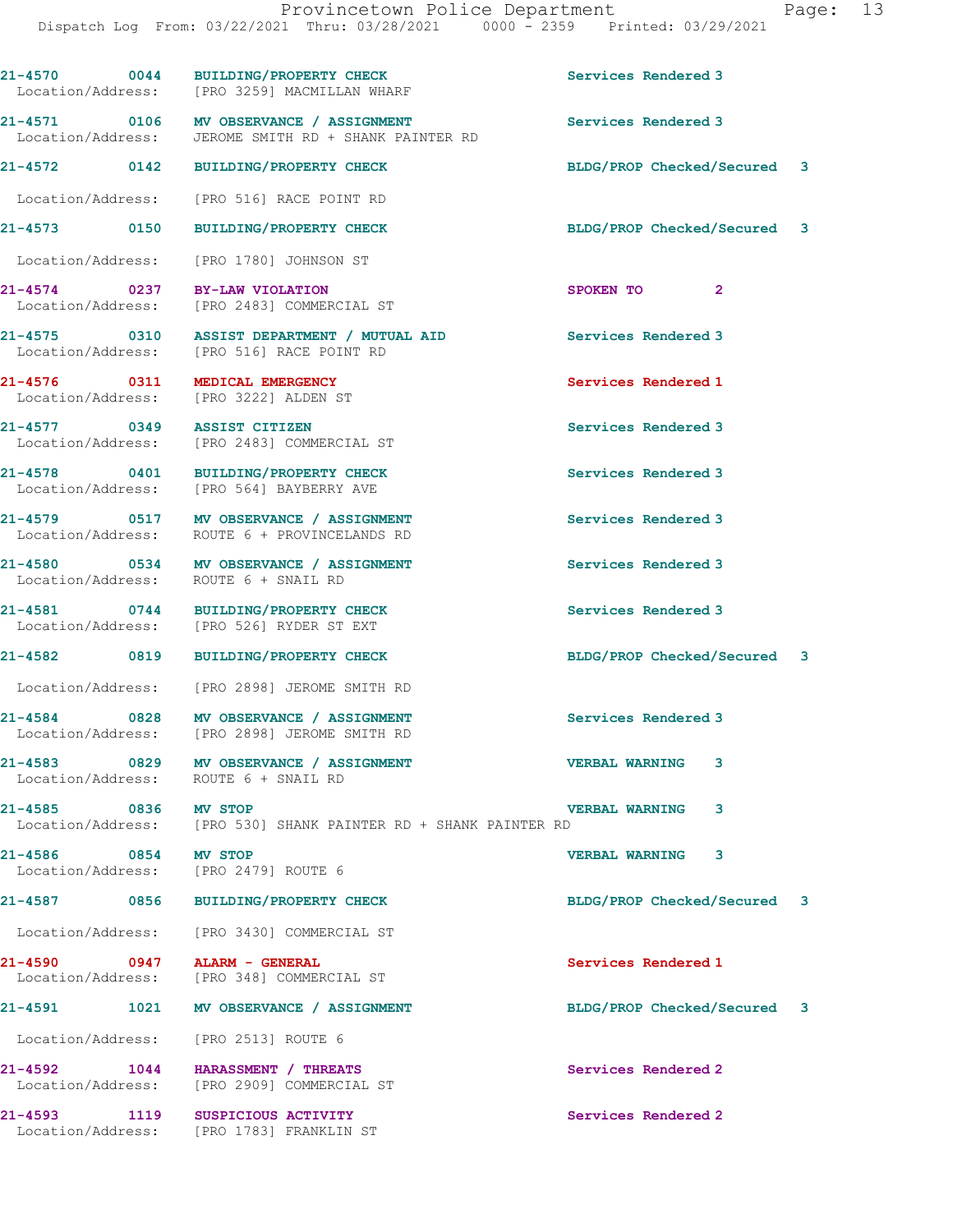21-4570 0044 BUILDING/PROPERTY CHECK Services Rendered 3 Location/Address: [PRO 3259] MACMILLAN WHARF 21-4571 0106 MV OBSERVANCE / ASSIGNMENT CONSERVANCE SERVICES Rendered 3<br>
Location/Address: JEROME SMITH RD + SHANK PAINTER RD JEROME SMITH RD + SHANK PAINTER RD 21-4572 0142 BUILDING/PROPERTY CHECK BLDG/PROP Checked/Secured 3 Location/Address: [PRO 516] RACE POINT RD 21-4573 0150 BUILDING/PROPERTY CHECK BLDG/PROP Checked/Secured 3 Location/Address: [PRO 1780] JOHNSON ST 21-4574 0237 BY-LAW VIOLATION SPOKEN TO 2 Location/Address: [PRO 2483] COMMERCIAL ST 21-4575 0310 ASSIST DEPARTMENT / MUTUAL AID Services Rendered 3 Location/Address: [PRO 516] RACE POINT RD 21-4576 0311 MEDICAL EMERGENCY Services Rendered 1 Location/Address: [PRO 3222] ALDEN ST 21-4577 0349 ASSIST CITIZEN Services Rendered 3 Location/Address: [PRO 2483] COMMERCIAL ST 21-4578 0401 BUILDING/PROPERTY CHECK Services Rendered 3 Location/Address: [PRO 564] BAYBERRY AVE 21-4579 0517 MV OBSERVANCE / ASSIGNMENT Services Rendered 3 Location/Address: ROUTE 6 + PROVINCELANDS RD 21-4580 0534 MV OBSERVANCE / ASSIGNMENT Services Rendered 3<br>
Location/Address: ROUTE 6 + SNAIL RD ROUTE 6 + SNAIL RD 21-4581 0744 BUILDING/PROPERTY CHECK Services Rendered 3<br>
Location/Address: [PRO 526] RYDER ST EXT Location/Address: [PRO 526] RYDER ST EXT 21-4582 0819 BUILDING/PROPERTY CHECK BLDG/PROP Checked/Secured 3 Location/Address: [PRO 2898] JEROME SMITH RD 21-4584 0828 MV OBSERVANCE / ASSIGNMENT Services Rendered 3 Location/Address: [PRO 2898] JEROME SMITH RD 21-4583 0829 MV OBSERVANCE / ASSIGNMENT VERBAL WARNING 3 Location/Address: ROUTE 6 + SNAIL RD 21-4585 0836 MV STOP VERBAL WARNING 3 Location/Address: [PRO 530] SHANK PAINTER RD + SHANK PAINTER RD 21-4586 0854 MV STOP<br>
Location/Address: [PRO 2479] ROUTE 6 [PRO 2479] ROUTE 6 21-4587 0856 BUILDING/PROPERTY CHECK BLDG/PROP Checked/Secured 3 Location/Address: [PRO 3430] COMMERCIAL ST 21-4590 0947 ALARM - GENERAL Services Rendered 1 Location/Address: [PRO 348] COMMERCIAL ST 21-4591 1021 MV OBSERVANCE / ASSIGNMENT BLDG/PROP Checked/Secured 3 Location/Address: [PRO 2513] ROUTE 6 21-4592 1044 HARASSMENT / THREATS Services Rendered 2 Location/Address: [PRO 2909] COMMERCIAL ST 21-4593 1119 SUSPICIOUS ACTIVITY Services Rendered 2

Location/Address: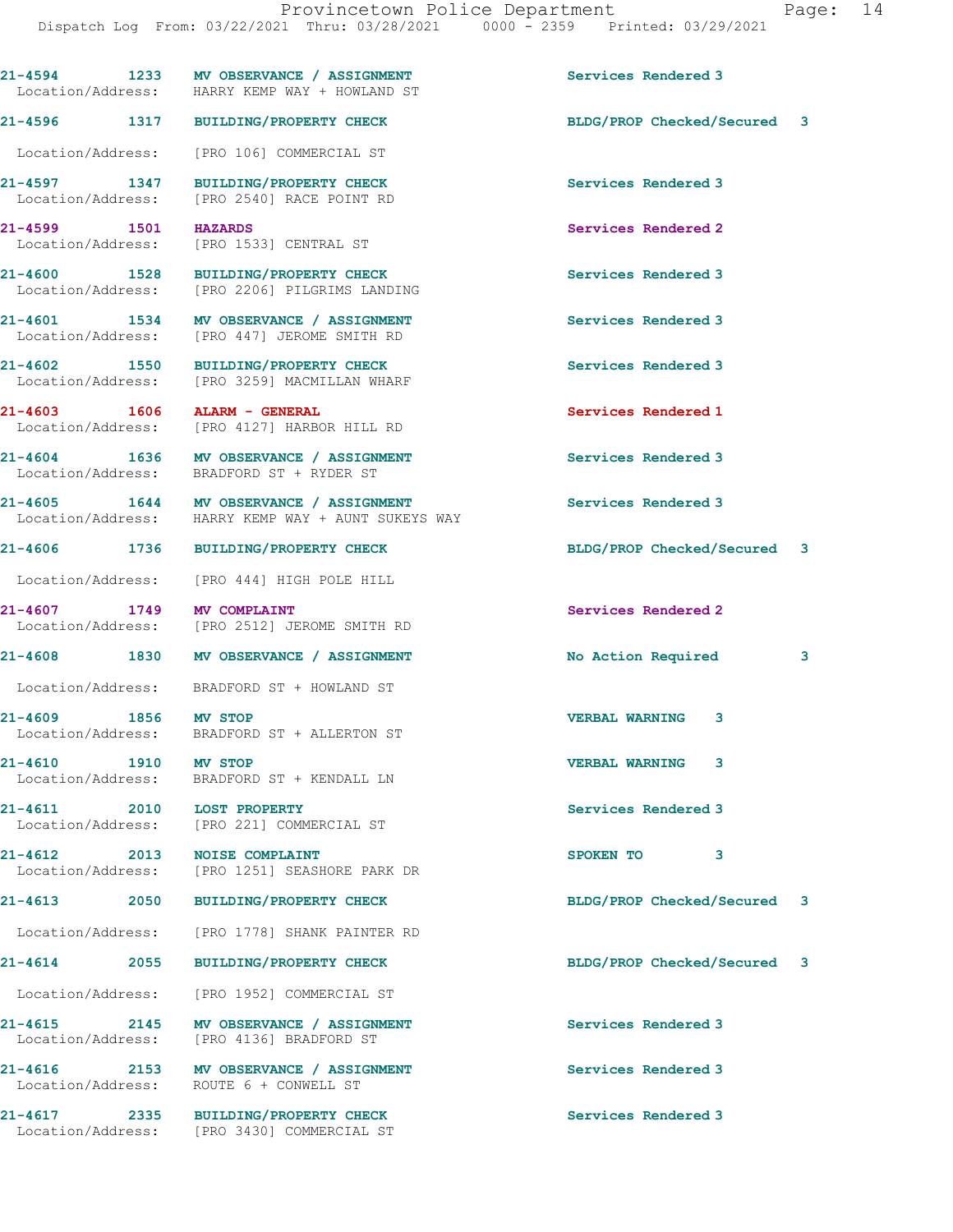21-4594 1233 MV OBSERVANCE / ASSIGNMENT Services Rendered 3 Location/Address: HARRY KEMP WAY + HOWLAND ST 21-4596 1317 BUILDING/PROPERTY CHECK BLDG/PROP Checked/Secured 3 Location/Address: [PRO 106] COMMERCIAL ST 21-4597 1347 BUILDING/PROPERTY CHECK Services Rendered 3 Location/Address: [PRO 2540] RACE POINT RD 21-4599 1501 HAZARDS Services Rendered 2 Location/Address: [PRO 1533] CENTRAL ST 21-4600 1528 BUILDING/PROPERTY CHECK Services Rendered 3 Location/Address: [PRO 2206] PILGRIMS LANDING 21-4601 1534 MV OBSERVANCE / ASSIGNMENT Services Rendered 3 Location/Address: [PRO 447] JEROME SMITH RD 21-4602 1550 BUILDING/PROPERTY CHECK Services Rendered 3 Location/Address: [PRO 3259] MACMILLAN WHARF 21-4603 1606 ALARM - GENERAL Services Rendered 1 Services Rendered 1<br>
Location/Address: [PRO 4127] HARBOR HILL RD [PRO 4127] HARBOR HILL RD 21-4604 1636 MV OBSERVANCE / ASSIGNMENT Services Rendered 3 Location/Address: BRADFORD ST + RYDER ST 21-4605 1644 MV OBSERVANCE / ASSIGNMENT Services Rendered 3 Location/Address: HARRY KEMP WAY + AUNT SUKEYS WAY 21-4606 1736 BUILDING/PROPERTY CHECK BLDG/PROP Checked/Secured 3 Location/Address: [PRO 444] HIGH POLE HILL 21-4607 1749 MV COMPLAINT<br>
Location/Address: [PRO 2512] JEROME SMITH RD<br>
Location/Address: [PRO 2512] JEROME SMITH RD [PRO 2512] JEROME SMITH RD 21-4608 1830 MV OBSERVANCE / ASSIGNMENT No Action Required 3 Location/Address: BRADFORD ST + HOWLAND ST 21-4609 1856 MV STOP VERBAL WARNING 3 Location/Address: BRADFORD ST + ALLERTON ST 21-4610 1910 MV STOP VERBAL WARNING 3 Location/Address: BRADFORD ST + KENDALL LN 21-4611 2010 LOST PROPERTY Services Rendered 3 Location/Address: [PRO 221] COMMERCIAL ST 21-4612 2013 NOISE COMPLAINT<br>
Location/Address: [PRO 1251] SEASHORE PARK DR<br>
SPOKEN TO [PRO 1251] SEASHORE PARK DR 21-4613 2050 BUILDING/PROPERTY CHECK BLDG/PROP Checked/Secured 3 Location/Address: [PRO 1778] SHANK PAINTER RD 21-4614 2055 BUILDING/PROPERTY CHECK BLDG/PROP Checked/Secured 3 Location/Address: [PRO 1952] COMMERCIAL ST 21-4615 2145 MV OBSERVANCE / ASSIGNMENT Services Rendered 3 Location/Address: [PRO 4136] BRADFORD ST 21-4616 2153 MV OBSERVANCE / ASSIGNMENT Services Rendered 3 Location/Address: ROUTE 6 + CONWELL ST 21-4617 2335 BUILDING/PROPERTY CHECK Services Rendered 3 Location/Address: [PRO 3430] COMMERCIAL ST